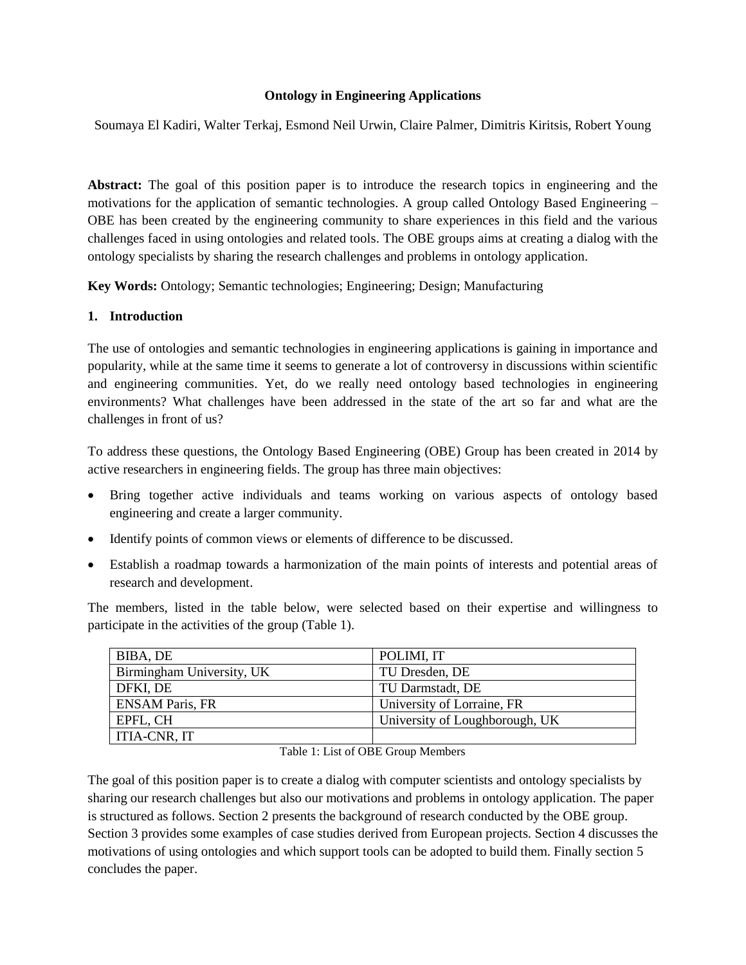## **Ontology in Engineering Applications**

Soumaya El Kadiri, Walter Terkaj, Esmond Neil Urwin, Claire Palmer, Dimitris Kiritsis, Robert Young

**Abstract:** The goal of this position paper is to introduce the research topics in engineering and the motivations for the application of semantic technologies. A group called Ontology Based Engineering – OBE has been created by the engineering community to share experiences in this field and the various challenges faced in using ontologies and related tools. The OBE groups aims at creating a dialog with the ontology specialists by sharing the research challenges and problems in ontology application.

**Key Words:** Ontology; Semantic technologies; Engineering; Design; Manufacturing

## **1. Introduction**

The use of ontologies and semantic technologies in engineering applications is gaining in importance and popularity, while at the same time it seems to generate a lot of controversy in discussions within scientific and engineering communities. Yet, do we really need ontology based technologies in engineering environments? What challenges have been addressed in the state of the art so far and what are the challenges in front of us?

To address these questions, the Ontology Based Engineering (OBE) Group has been created in 2014 by active researchers in engineering fields. The group has three main objectives:

- Bring together active individuals and teams working on various aspects of ontology based engineering and create a larger community.
- Identify points of common views or elements of difference to be discussed.
- Establish a roadmap towards a harmonization of the main points of interests and potential areas of research and development.

The members, listed in the table below, were selected based on their expertise and willingness to participate in the activities of the group (Table 1).

| BIBA, DE                  | POLIMI, IT                     |
|---------------------------|--------------------------------|
| Birmingham University, UK | TU Dresden, DE                 |
| DFKI, DE                  | TU Darmstadt, DE               |
| <b>ENSAM Paris, FR</b>    | University of Lorraine, FR     |
| EPFL, CH                  | University of Loughborough, UK |
| <b>ITIA-CNR, IT</b>       |                                |

Table 1: List of OBE Group Members

The goal of this position paper is to create a dialog with computer scientists and ontology specialists by sharing our research challenges but also our motivations and problems in ontology application. The paper is structured as follows. Section 2 presents the background of research conducted by the OBE group. Section 3 provides some examples of case studies derived from European projects. Section 4 discusses the motivations of using ontologies and which support tools can be adopted to build them. Finally section 5 concludes the paper.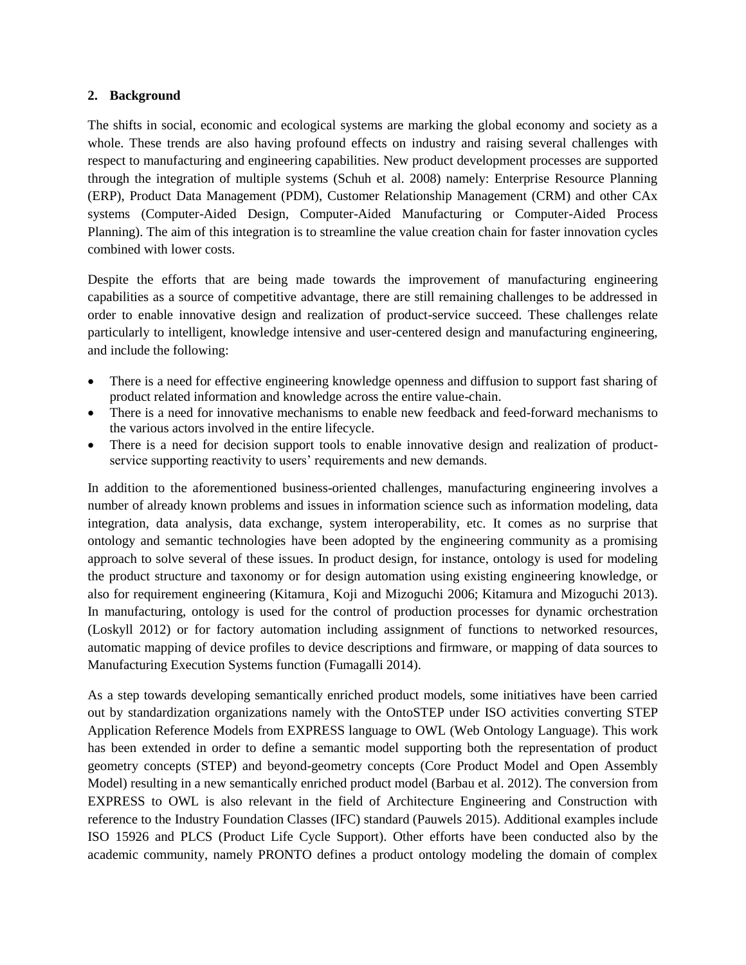### **2. Background**

The shifts in social, economic and ecological systems are marking the global economy and society as a whole. These trends are also having profound effects on industry and raising several challenges with respect to manufacturing and engineering capabilities. New product development processes are supported through the integration of multiple systems (Schuh et al. 2008) namely: Enterprise Resource Planning (ERP), Product Data Management (PDM), Customer Relationship Management (CRM) and other CAx systems (Computer-Aided Design, Computer-Aided Manufacturing or Computer-Aided Process Planning). The aim of this integration is to streamline the value creation chain for faster innovation cycles combined with lower costs.

Despite the efforts that are being made towards the improvement of manufacturing engineering capabilities as a source of competitive advantage, there are still remaining challenges to be addressed in order to enable innovative design and realization of product-service succeed. These challenges relate particularly to intelligent, knowledge intensive and user-centered design and manufacturing engineering, and include the following:

- There is a need for effective engineering knowledge openness and diffusion to support fast sharing of product related information and knowledge across the entire value-chain.
- There is a need for innovative mechanisms to enable new feedback and feed-forward mechanisms to the various actors involved in the entire lifecycle.
- There is a need for decision support tools to enable innovative design and realization of productservice supporting reactivity to users' requirements and new demands.

In addition to the aforementioned business-oriented challenges, manufacturing engineering involves a number of already known problems and issues in information science such as information modeling, data integration, data analysis, data exchange, system interoperability, etc. It comes as no surprise that ontology and semantic technologies have been adopted by the engineering community as a promising approach to solve several of these issues. In product design, for instance, ontology is used for modeling the product structure and taxonomy or for design automation using existing engineering knowledge, or also for requirement engineering (Kitamura¸ Koji and Mizoguchi 2006; Kitamura and Mizoguchi 2013). In manufacturing, ontology is used for the control of production processes for dynamic orchestration (Loskyll 2012) or for factory automation including assignment of functions to networked resources, automatic mapping of device profiles to device descriptions and firmware, or mapping of data sources to Manufacturing Execution Systems function (Fumagalli 2014).

As a step towards developing semantically enriched product models, some initiatives have been carried out by standardization organizations namely with the OntoSTEP under ISO activities converting STEP Application Reference Models from EXPRESS language to OWL (Web Ontology Language). This work has been extended in order to define a semantic model supporting both the representation of product geometry concepts (STEP) and beyond-geometry concepts (Core Product Model and Open Assembly Model) resulting in a new semantically enriched product model (Barbau et al. 2012). The conversion from EXPRESS to OWL is also relevant in the field of Architecture Engineering and Construction with reference to the Industry Foundation Classes (IFC) standard (Pauwels 2015). Additional examples include ISO 15926 and PLCS (Product Life Cycle Support). Other efforts have been conducted also by the academic community, namely PRONTO defines a product ontology modeling the domain of complex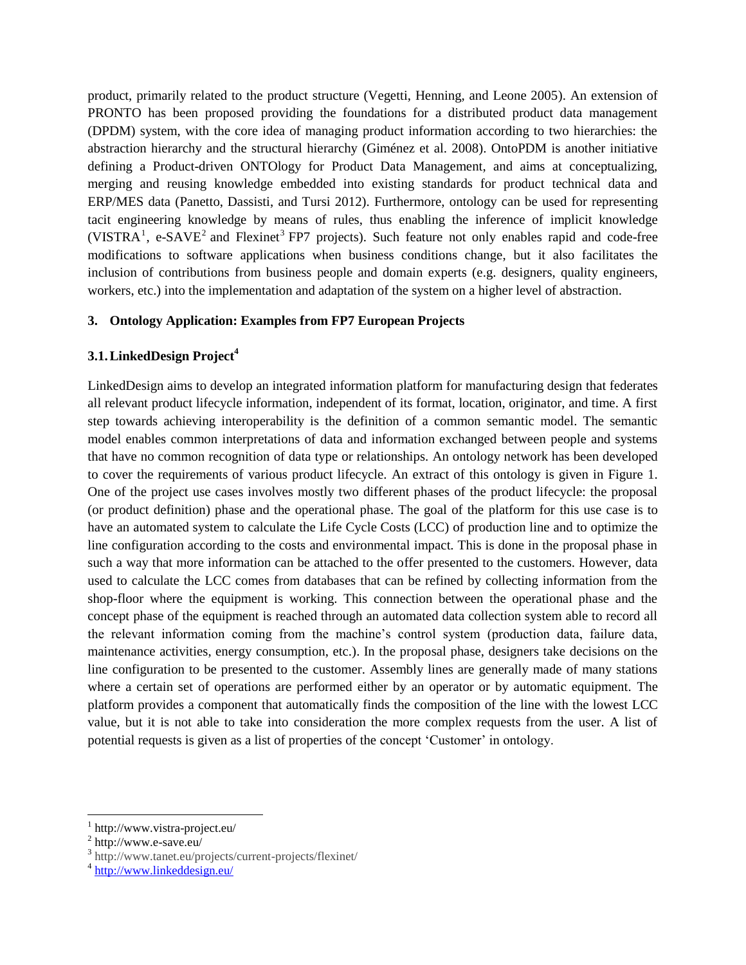product, primarily related to the product structure (Vegetti, Henning, and Leone 2005). An extension of PRONTO has been proposed providing the foundations for a distributed product data management (DPDM) system, with the core idea of managing product information according to two hierarchies: the abstraction hierarchy and the structural hierarchy (Giménez et al. 2008). OntoPDM is another initiative defining a Product-driven ONTOlogy for Product Data Management, and aims at conceptualizing, merging and reusing knowledge embedded into existing standards for product technical data and ERP/MES data (Panetto, Dassisti, and Tursi 2012). Furthermore, ontology can be used for representing tacit engineering knowledge by means of rules, thus enabling the inference of implicit knowledge (VISTRA<sup>1</sup>, e-SAVE<sup>2</sup> and Flexinet<sup>3</sup> FP7 projects). Such feature not only enables rapid and code-free modifications to software applications when business conditions change, but it also facilitates the inclusion of contributions from business people and domain experts (e.g. designers, quality engineers, workers, etc.) into the implementation and adaptation of the system on a higher level of abstraction.

## **3. Ontology Application: Examples from FP7 European Projects**

## **3.1.LinkedDesign Project<sup>4</sup>**

LinkedDesign aims to develop an integrated information platform for manufacturing design that federates all relevant product lifecycle information, independent of its format, location, originator, and time. A first step towards achieving interoperability is the definition of a common semantic model. The semantic model enables common interpretations of data and information exchanged between people and systems that have no common recognition of data type or relationships. An ontology network has been developed to cover the requirements of various product lifecycle. An extract of this ontology is given in Figure 1. One of the project use cases involves mostly two different phases of the product lifecycle: the proposal (or product definition) phase and the operational phase. The goal of the platform for this use case is to have an automated system to calculate the Life Cycle Costs (LCC) of production line and to optimize the line configuration according to the costs and environmental impact. This is done in the proposal phase in such a way that more information can be attached to the offer presented to the customers. However, data used to calculate the LCC comes from databases that can be refined by collecting information from the shop-floor where the equipment is working. This connection between the operational phase and the concept phase of the equipment is reached through an automated data collection system able to record all the relevant information coming from the machine's control system (production data, failure data, maintenance activities, energy consumption, etc.). In the proposal phase, designers take decisions on the line configuration to be presented to the customer. Assembly lines are generally made of many stations where a certain set of operations are performed either by an operator or by automatic equipment. The platform provides a component that automatically finds the composition of the line with the lowest LCC value, but it is not able to take into consideration the more complex requests from the user. A list of potential requests is given as a list of properties of the concept 'Customer' in ontology.

<sup>&</sup>lt;sup>1</sup> http://www.vistra-project.eu/

<sup>&</sup>lt;sup>2</sup> http://www.e-save.eu/

<sup>3</sup> http://www.tanet.eu/projects/current-projects/flexinet/

<sup>4</sup> <http://www.linkeddesign.eu/>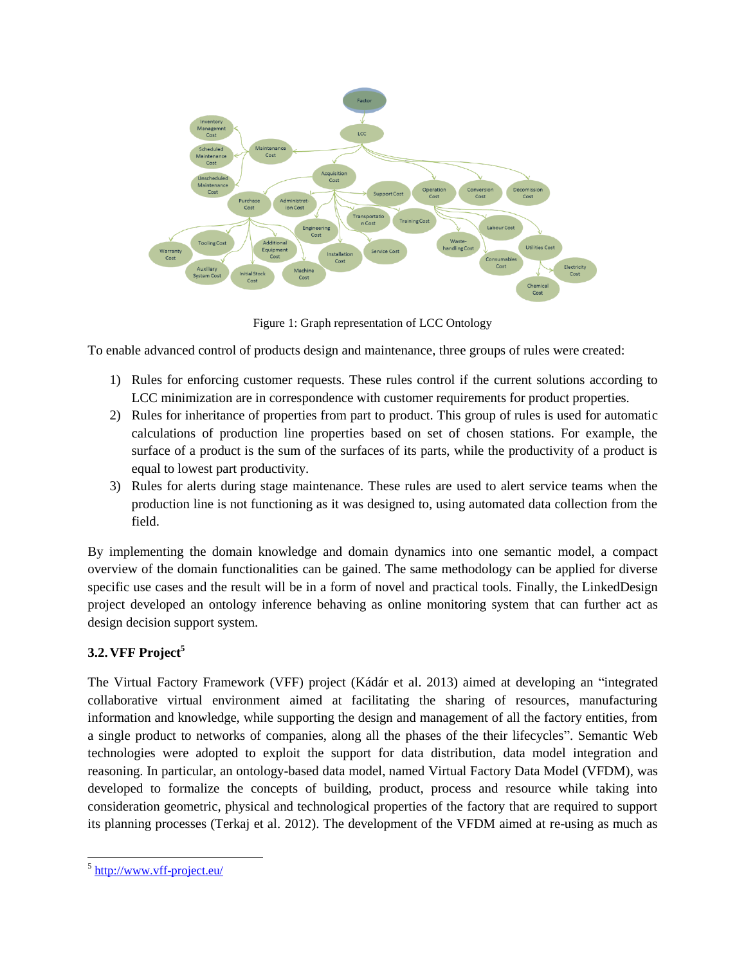

Figure 1: Graph representation of LCC Ontology

To enable advanced control of products design and maintenance, three groups of rules were created:

- 1) Rules for enforcing customer requests. These rules control if the current solutions according to LCC minimization are in correspondence with customer requirements for product properties.
- 2) Rules for inheritance of properties from part to product. This group of rules is used for automatic calculations of production line properties based on set of chosen stations. For example, the surface of a product is the sum of the surfaces of its parts, while the productivity of a product is equal to lowest part productivity.
- 3) Rules for alerts during stage maintenance. These rules are used to alert service teams when the production line is not functioning as it was designed to, using automated data collection from the field.

By implementing the domain knowledge and domain dynamics into one semantic model, a compact overview of the domain functionalities can be gained. The same methodology can be applied for diverse specific use cases and the result will be in a form of novel and practical tools. Finally, the LinkedDesign project developed an ontology inference behaving as online monitoring system that can further act as design decision support system.

# **3.2.VFF Project<sup>5</sup>**

The Virtual Factory Framework (VFF) project (Kádár et al. 2013) aimed at developing an "integrated collaborative virtual environment aimed at facilitating the sharing of resources, manufacturing information and knowledge, while supporting the design and management of all the factory entities, from a single product to networks of companies, along all the phases of the their lifecycles". Semantic Web technologies were adopted to exploit the support for data distribution, data model integration and reasoning. In particular, an ontology-based data model, named Virtual Factory Data Model (VFDM), was developed to formalize the concepts of building, product, process and resource while taking into consideration geometric, physical and technological properties of the factory that are required to support its planning processes (Terkaj et al. 2012). The development of the VFDM aimed at re-using as much as

<sup>&</sup>lt;sup>5</sup> <http://www.vff-project.eu/>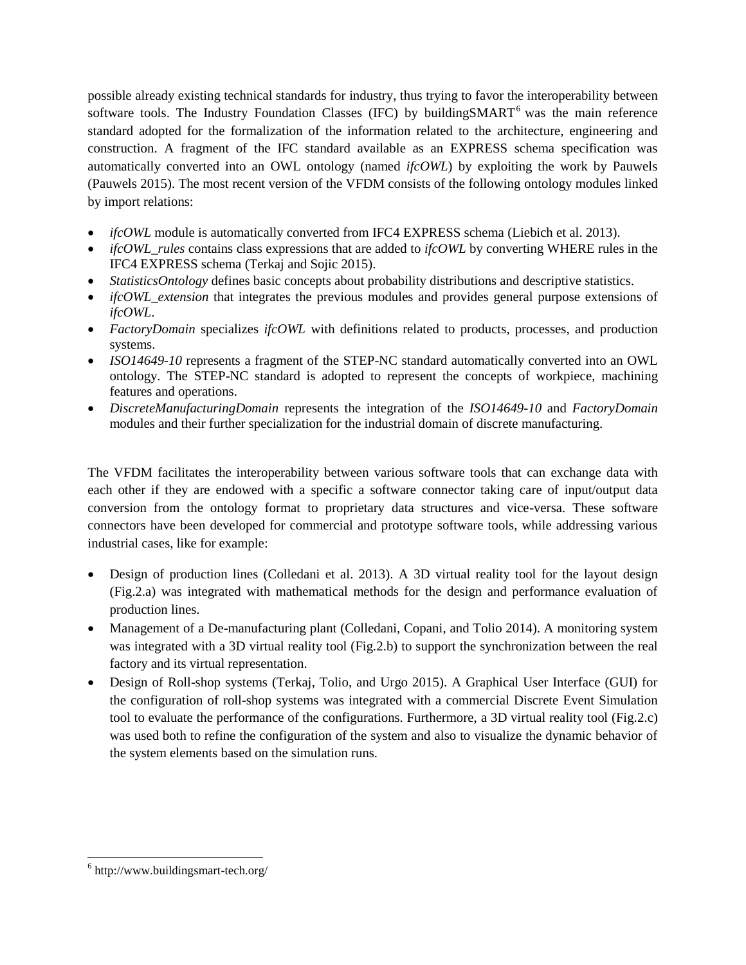possible already existing technical standards for industry, thus trying to favor the interoperability between software tools. The Industry Foundation Classes (IFC) by building SMART<sup>6</sup> was the main reference standard adopted for the formalization of the information related to the architecture, engineering and construction. A fragment of the IFC standard available as an EXPRESS schema specification was automatically converted into an OWL ontology (named *ifcOWL*) by exploiting the work by Pauwels (Pauwels 2015). The most recent version of the VFDM consists of the following ontology modules linked by import relations:

- *ifcOWL* module is automatically converted from IFC4 EXPRESS schema (Liebich et al. 2013).
- *ifcOWL\_rules* contains class expressions that are added to *ifcOWL* by converting WHERE rules in the IFC4 EXPRESS schema (Terkaj and Sojic 2015).
- *StatisticsOntology* defines basic concepts about probability distributions and descriptive statistics.
- *ifcOWL* extension that integrates the previous modules and provides general purpose extensions of *ifcOWL*.
- *FactoryDomain* specializes *ifcOWL* with definitions related to products, processes, and production systems.
- *ISO14649-10* represents a fragment of the STEP-NC standard automatically converted into an OWL ontology. The STEP-NC standard is adopted to represent the concepts of workpiece, machining features and operations.
- *DiscreteManufacturingDomain* represents the integration of the *ISO14649-10* and *FactoryDomain* modules and their further specialization for the industrial domain of discrete manufacturing.

The VFDM facilitates the interoperability between various software tools that can exchange data with each other if they are endowed with a specific a software connector taking care of input/output data conversion from the ontology format to proprietary data structures and vice-versa. These software connectors have been developed for commercial and prototype software tools, while addressing various industrial cases, like for example:

- Design of production lines (Colledani et al. 2013). A 3D virtual reality tool for the layout design (Fig.2.a) was integrated with mathematical methods for the design and performance evaluation of production lines.
- Management of a De-manufacturing plant (Colledani, Copani, and Tolio 2014). A monitoring system was integrated with a 3D virtual reality tool (Fig.2.b) to support the synchronization between the real factory and its virtual representation.
- Design of Roll-shop systems (Terkaj, Tolio, and Urgo 2015). A Graphical User Interface (GUI) for the configuration of roll-shop systems was integrated with a commercial Discrete Event Simulation tool to evaluate the performance of the configurations. Furthermore, a 3D virtual reality tool (Fig.2.c) was used both to refine the configuration of the system and also to visualize the dynamic behavior of the system elements based on the simulation runs.

<sup>6</sup> http://www.buildingsmart-tech.org/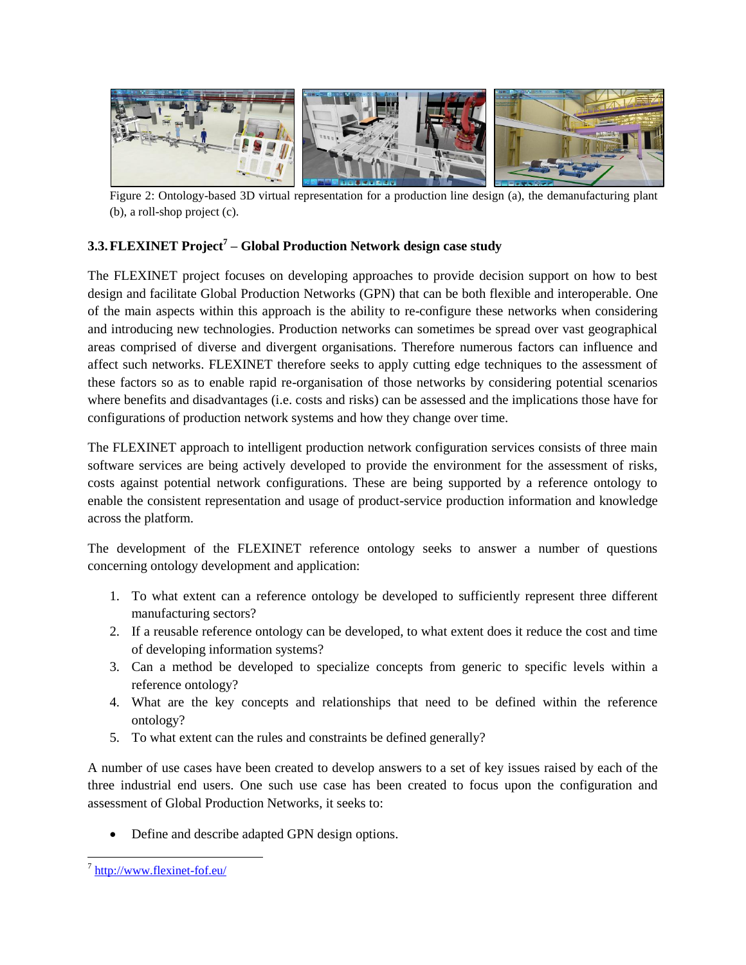

Figure 2: Ontology-based 3D virtual representation for a production line design (a), the demanufacturing plant (b), a roll-shop project (c).

## **3.3.FLEXINET Project<sup>7</sup> – Global Production Network design case study**

The FLEXINET project focuses on developing approaches to provide decision support on how to best design and facilitate Global Production Networks (GPN) that can be both flexible and interoperable. One of the main aspects within this approach is the ability to re-configure these networks when considering and introducing new technologies. Production networks can sometimes be spread over vast geographical areas comprised of diverse and divergent organisations. Therefore numerous factors can influence and affect such networks. FLEXINET therefore seeks to apply cutting edge techniques to the assessment of these factors so as to enable rapid re-organisation of those networks by considering potential scenarios where benefits and disadvantages (i.e. costs and risks) can be assessed and the implications those have for configurations of production network systems and how they change over time.

The FLEXINET approach to intelligent production network configuration services consists of three main software services are being actively developed to provide the environment for the assessment of risks, costs against potential network configurations. These are being supported by a reference ontology to enable the consistent representation and usage of product-service production information and knowledge across the platform.

The development of the FLEXINET reference ontology seeks to answer a number of questions concerning ontology development and application:

- 1. To what extent can a reference ontology be developed to sufficiently represent three different manufacturing sectors?
- 2. If a reusable reference ontology can be developed, to what extent does it reduce the cost and time of developing information systems?
- 3. Can a method be developed to specialize concepts from generic to specific levels within a reference ontology?
- 4. What are the key concepts and relationships that need to be defined within the reference ontology?
- 5. To what extent can the rules and constraints be defined generally?

A number of use cases have been created to develop answers to a set of key issues raised by each of the three industrial end users. One such use case has been created to focus upon the configuration and assessment of Global Production Networks, it seeks to:

• Define and describe adapted GPN design options.

l <sup>7</sup> <http://www.flexinet-fof.eu/>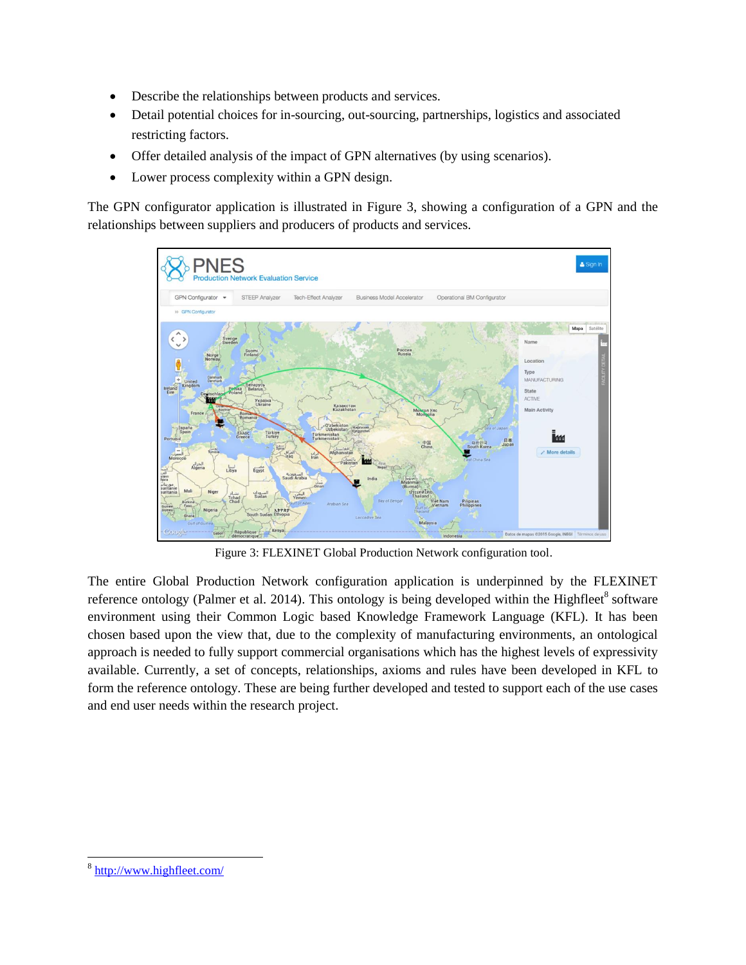- Describe the relationships between products and services.
- Detail potential choices for in-sourcing, out-sourcing, partnerships, logistics and associated restricting factors.
- Offer detailed analysis of the impact of GPN alternatives (by using scenarios).
- Lower process complexity within a GPN design.

The GPN configurator application is illustrated in Figure 3, showing a configuration of a GPN and the relationships between suppliers and producers of products and services.



Figure 3: FLEXINET Global Production Network configuration tool.

The entire Global Production Network configuration application is underpinned by the FLEXINET reference ontology (Palmer et al. 2014). This ontology is being developed within the Highfleet<sup>8</sup> software environment using their Common Logic based Knowledge Framework Language (KFL). It has been chosen based upon the view that, due to the complexity of manufacturing environments, an ontological approach is needed to fully support commercial organisations which has the highest levels of expressivity available. Currently, a set of concepts, relationships, axioms and rules have been developed in KFL to form the reference ontology. These are being further developed and tested to support each of the use cases and end user needs within the research project.

<sup>&</sup>lt;sup>8</sup> <http://www.highfleet.com/>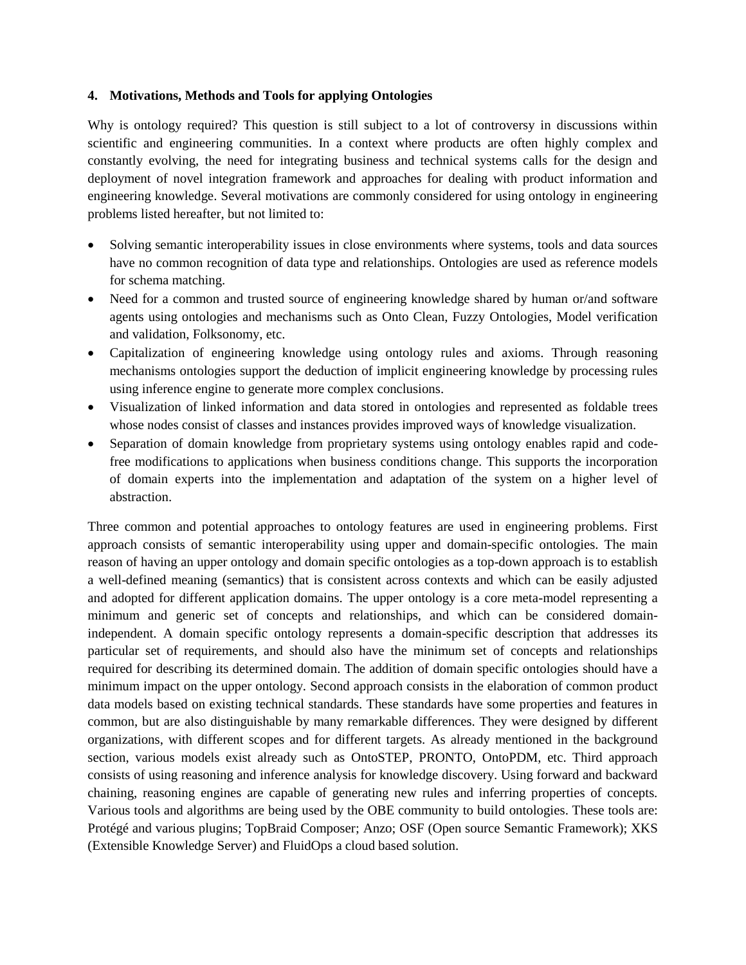### **4. Motivations, Methods and Tools for applying Ontologies**

Why is ontology required? This question is still subject to a lot of controversy in discussions within scientific and engineering communities. In a context where products are often highly complex and constantly evolving, the need for integrating business and technical systems calls for the design and deployment of novel integration framework and approaches for dealing with product information and engineering knowledge. Several motivations are commonly considered for using ontology in engineering problems listed hereafter, but not limited to:

- Solving semantic interoperability issues in close environments where systems, tools and data sources have no common recognition of data type and relationships. Ontologies are used as reference models for schema matching.
- Need for a common and trusted source of engineering knowledge shared by human or/and software agents using ontologies and mechanisms such as Onto Clean, Fuzzy Ontologies, Model verification and validation, Folksonomy, etc.
- Capitalization of engineering knowledge using ontology rules and axioms. Through reasoning mechanisms ontologies support the deduction of implicit engineering knowledge by processing rules using inference engine to generate more complex conclusions.
- Visualization of linked information and data stored in ontologies and represented as foldable trees whose nodes consist of classes and instances provides improved ways of knowledge visualization.
- Separation of domain knowledge from proprietary systems using ontology enables rapid and codefree modifications to applications when business conditions change. This supports the incorporation of domain experts into the implementation and adaptation of the system on a higher level of abstraction.

Three common and potential approaches to ontology features are used in engineering problems. First approach consists of semantic interoperability using upper and domain-specific ontologies. The main reason of having an upper ontology and domain specific ontologies as a top-down approach is to establish a well-defined meaning (semantics) that is consistent across contexts and which can be easily adjusted and adopted for different application domains. The upper ontology is a core meta-model representing a minimum and generic set of concepts and relationships, and which can be considered domainindependent. A domain specific ontology represents a domain-specific description that addresses its particular set of requirements, and should also have the minimum set of concepts and relationships required for describing its determined domain. The addition of domain specific ontologies should have a minimum impact on the upper ontology. Second approach consists in the elaboration of common product data models based on existing technical standards. These standards have some properties and features in common, but are also distinguishable by many remarkable differences. They were designed by different organizations, with different scopes and for different targets. As already mentioned in the background section, various models exist already such as OntoSTEP, PRONTO, OntoPDM, etc. Third approach consists of using reasoning and inference analysis for knowledge discovery. Using forward and backward chaining, reasoning engines are capable of generating new rules and inferring properties of concepts. Various tools and algorithms are being used by the OBE community to build ontologies. These tools are: Protégé and various plugins; TopBraid Composer; Anzo; OSF (Open source Semantic Framework); XKS (Extensible Knowledge Server) and FluidOps a cloud based solution.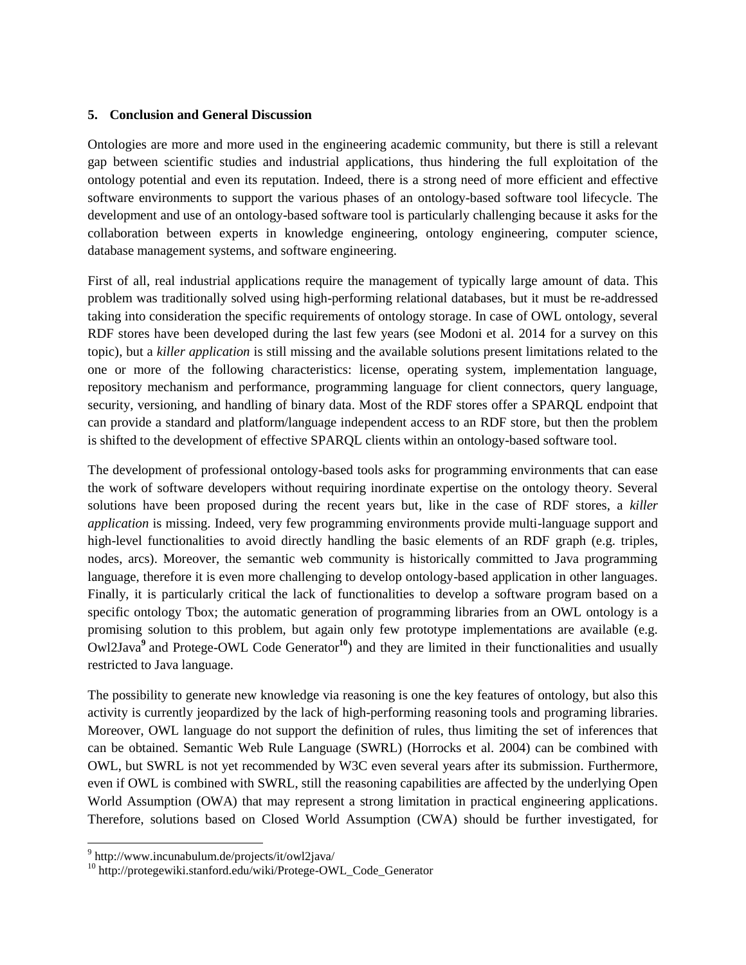## **5. Conclusion and General Discussion**

Ontologies are more and more used in the engineering academic community, but there is still a relevant gap between scientific studies and industrial applications, thus hindering the full exploitation of the ontology potential and even its reputation. Indeed, there is a strong need of more efficient and effective software environments to support the various phases of an ontology-based software tool lifecycle. The development and use of an ontology-based software tool is particularly challenging because it asks for the collaboration between experts in knowledge engineering, ontology engineering, computer science, database management systems, and software engineering.

First of all, real industrial applications require the management of typically large amount of data. This problem was traditionally solved using high-performing relational databases, but it must be re-addressed taking into consideration the specific requirements of ontology storage. In case of OWL ontology, several RDF stores have been developed during the last few years (see Modoni et al. 2014 for a survey on this topic), but a *killer application* is still missing and the available solutions present limitations related to the one or more of the following characteristics: license, operating system, implementation language, repository mechanism and performance, programming language for client connectors, query language, security, versioning, and handling of binary data. Most of the RDF stores offer a SPARQL endpoint that can provide a standard and platform/language independent access to an RDF store, but then the problem is shifted to the development of effective SPARQL clients within an ontology-based software tool.

The development of professional ontology-based tools asks for programming environments that can ease the work of software developers without requiring inordinate expertise on the ontology theory. Several solutions have been proposed during the recent years but, like in the case of RDF stores, a *killer application* is missing. Indeed, very few programming environments provide multi-language support and high-level functionalities to avoid directly handling the basic elements of an RDF graph (e.g. triples, nodes, arcs). Moreover, the semantic web community is historically committed to Java programming language, therefore it is even more challenging to develop ontology-based application in other languages. Finally, it is particularly critical the lack of functionalities to develop a software program based on a specific ontology Tbox; the automatic generation of programming libraries from an OWL ontology is a promising solution to this problem, but again only few prototype implementations are available (e.g. Owl2Java<sup>9</sup> and Protege-OWL Code Generator<sup>10</sup>) and they are limited in their functionalities and usually restricted to Java language.

The possibility to generate new knowledge via reasoning is one the key features of ontology, but also this activity is currently jeopardized by the lack of high-performing reasoning tools and programing libraries. Moreover, OWL language do not support the definition of rules, thus limiting the set of inferences that can be obtained. Semantic Web Rule Language (SWRL) (Horrocks et al. 2004) can be combined with OWL, but SWRL is not yet recommended by W3C even several years after its submission. Furthermore, even if OWL is combined with SWRL, still the reasoning capabilities are affected by the underlying Open World Assumption (OWA) that may represent a strong limitation in practical engineering applications. Therefore, solutions based on Closed World Assumption (CWA) should be further investigated, for

 9 http://www.incunabulum.de/projects/it/owl2java/

<sup>10</sup> http://protegewiki.stanford.edu/wiki/Protege-OWL\_Code\_Generator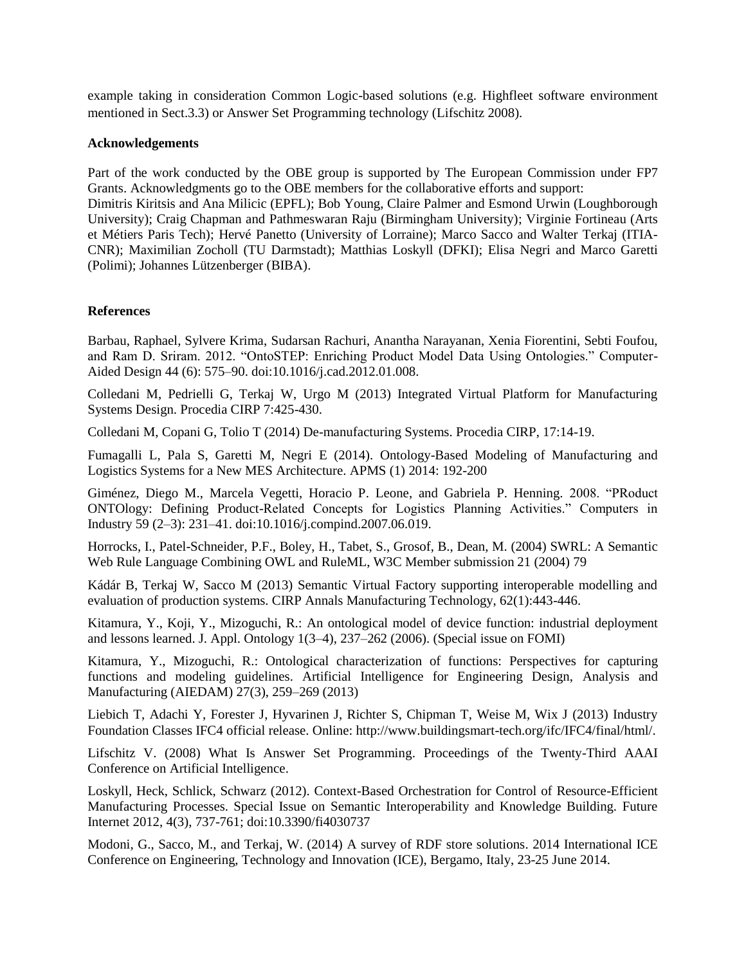example taking in consideration Common Logic-based solutions (e.g. Highfleet software environment mentioned in Sect.3.3) or Answer Set Programming technology (Lifschitz 2008).

### **Acknowledgements**

Part of the work conducted by the OBE group is supported by The European Commission under FP7 Grants. Acknowledgments go to the OBE members for the collaborative efforts and support:

Dimitris Kiritsis and Ana Milicic (EPFL); Bob Young, Claire Palmer and Esmond Urwin (Loughborough University); Craig Chapman and Pathmeswaran Raju (Birmingham University); Virginie Fortineau (Arts et Métiers Paris Tech); Hervé Panetto (University of Lorraine); Marco Sacco and Walter Terkaj (ITIA-CNR); Maximilian Zocholl (TU Darmstadt); Matthias Loskyll (DFKI); Elisa Negri and Marco Garetti (Polimi); Johannes Lützenberger (BIBA).

### **References**

Barbau, Raphael, Sylvere Krima, Sudarsan Rachuri, Anantha Narayanan, Xenia Fiorentini, Sebti Foufou, and Ram D. Sriram. 2012. "OntoSTEP: Enriching Product Model Data Using Ontologies." Computer-Aided Design 44 (6): 575–90. doi:10.1016/j.cad.2012.01.008.

Colledani M, Pedrielli G, Terkaj W, Urgo M (2013) Integrated Virtual Platform for Manufacturing Systems Design. Procedia CIRP 7:425-430.

Colledani M, Copani G, Tolio T (2014) De-manufacturing Systems. Procedia CIRP, 17:14-19.

Fumagalli L, Pala S, Garetti M, Negri E (2014). Ontology-Based Modeling of Manufacturing and Logistics Systems for a New MES Architecture. APMS (1) 2014: 192-200

Giménez, Diego M., Marcela Vegetti, Horacio P. Leone, and Gabriela P. Henning. 2008. "PRoduct ONTOlogy: Defining Product-Related Concepts for Logistics Planning Activities." Computers in Industry 59 (2–3): 231–41. doi:10.1016/j.compind.2007.06.019.

Horrocks, I., Patel-Schneider, P.F., Boley, H., Tabet, S., Grosof, B., Dean, M. (2004) SWRL: A Semantic Web Rule Language Combining OWL and RuleML, W3C Member submission 21 (2004) 79

Kádár B, Terkaj W, Sacco M (2013) Semantic Virtual Factory supporting interoperable modelling and evaluation of production systems. CIRP Annals Manufacturing Technology, 62(1):443-446.

Kitamura, Y., Koji, Y., Mizoguchi, R.: An ontological model of device function: industrial deployment and lessons learned. J. Appl. Ontology 1(3–4), 237–262 (2006). (Special issue on FOMI)

Kitamura, Y., Mizoguchi, R.: Ontological characterization of functions: Perspectives for capturing functions and modeling guidelines. Artificial Intelligence for Engineering Design, Analysis and Manufacturing (AIEDAM) 27(3), 259–269 (2013)

Liebich T, Adachi Y, Forester J, Hyvarinen J, Richter S, Chipman T, Weise M, Wix J (2013) Industry Foundation Classes IFC4 official release. Online: http://www.buildingsmart-tech.org/ifc/IFC4/final/html/.

Lifschitz V. (2008) What Is Answer Set Programming. Proceedings of the Twenty-Third AAAI Conference on Artificial Intelligence.

Loskyll, Heck, Schlick, Schwarz (2012). Context-Based Orchestration for Control of Resource-Efficient Manufacturing Processes. Special Issue on Semantic Interoperability and Knowledge Building. Future Internet 2012, 4(3), 737-761; doi:10.3390/fi4030737

Modoni, G., Sacco, M., and Terkaj, W. (2014) A survey of RDF store solutions. 2014 International ICE Conference on Engineering, Technology and Innovation (ICE), Bergamo, Italy, 23-25 June 2014.